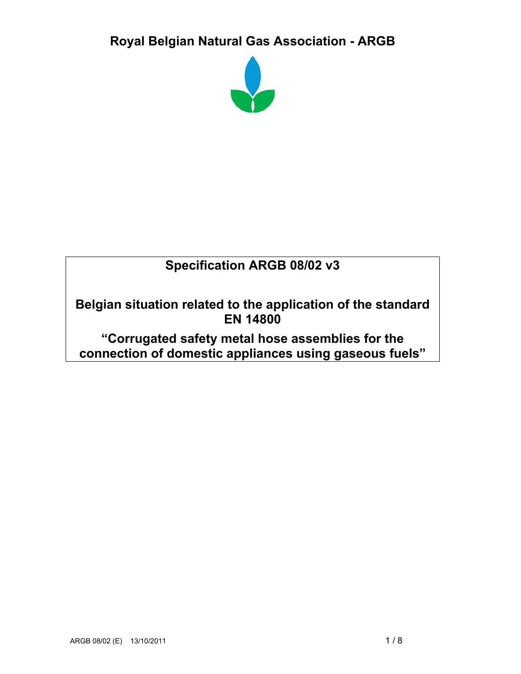# **Royal Belgian Natural Gas Association - ARGB**



# **Specification ARGB 08/02 v3**

**Belgian situation related to the application of the standard EN 14800** 

**"Corrugated safety metal hose assemblies for the connection of domestic appliances using gaseous fuels"**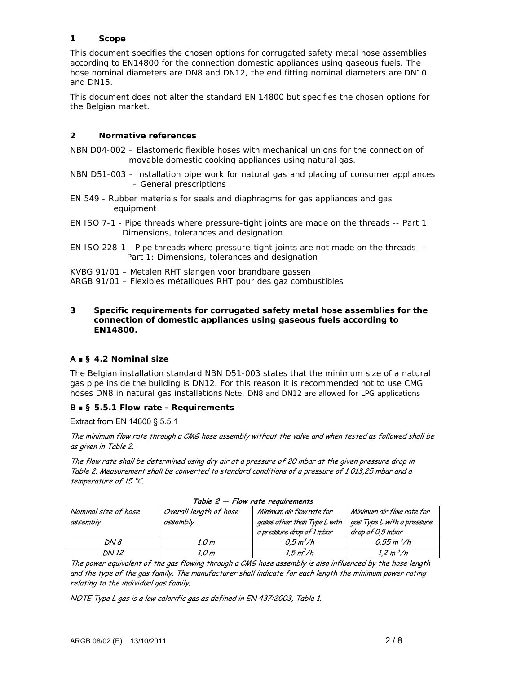# **1 Scope**

This document specifies the chosen options for corrugated safety metal hose assemblies according to EN14800 for the connection domestic appliances using gaseous fuels. The hose nominal diameters are DN8 and DN12, the end fitting nominal diameters are DN10 and DN15.

This document does not alter the standard EN 14800 but specifies the chosen options for the Belgian market.

# **2 Normative references**

- NBN D04-002 Elastomeric flexible hoses with mechanical unions for the connection of movable domestic cooking appliances using natural gas.
- NBN D51-003 Installation pipe work for natural gas and placing of consumer appliances – General prescriptions
- EN 549 Rubber materials for seals and diaphragms for gas appliances and gas equipment
- EN ISO 7-1 Pipe threads where pressure-tight joints are made on the threads -- Part 1: Dimensions, tolerances and designation
- EN ISO 228-1 Pipe threads where pressure-tight joints are not made on the threads -- Part 1: Dimensions, tolerances and designation
- KVBG 91/01 Metalen RHT slangen voor brandbare gassen
- ARGB 91/01 Flexibles métalliques RHT pour des gaz combustibles

#### **3 Specific requirements for corrugated safety metal hose assemblies for the connection of domestic appliances using gaseous fuels according to EN14800.**

## **A ■ § 4.2 Nominal size**

The Belgian installation standard NBN D51-003 states that the minimum size of a natural gas pipe inside the building is DN12. For this reason it is recommended not to use CMG hoses DN8 in natural gas installations Note: DN8 and DN12 are allowed for LPG applications

# **B ■ § 5.5.1 Flow rate - Requirements**

Extract from EN 14800 § 5.5.1

The minimum flow rate through a CMG hose assembly without the valve and when tested as followed shall be as given in Table 2.

The flow rate shall be determined using dry air at a pressure of 20 mbar at the given pressure drop in Table 2. Measurement shall be converted to standard conditions of a pressure of 1 013,25 mbar and a temperature of 15  $^{\circ}$ C.

| Nominal size of hose<br>assembly | Overall length of hose<br>assembly | Minimum air flow rate for<br>gases other than Type L with<br>a pressure drop of 1 mbar | Minimum air flow rate for<br>gas Type L with a pressure<br>drop of 0.5 mbar |  |
|----------------------------------|------------------------------------|----------------------------------------------------------------------------------------|-----------------------------------------------------------------------------|--|
| DN 8                             | 1.0 m                              | $0.5 \, m^3/h$                                                                         | $0.55 \, m^3/h$                                                             |  |
| DN 12                            | 1,0 m                              | 1.5 m <sup>3</sup> /h                                                                  | 1,2 m <sup>3</sup> /h                                                       |  |

|  |  |  | Table $2$ $-$ Flow rate requirements |
|--|--|--|--------------------------------------|
|--|--|--|--------------------------------------|

The power equivalent of the gas flowing through a CMG hose assembly is also influenced by the hose length and the type of the gas family. The manufacturer shall indicate for each length the minimum power rating relating to the individual gas family.

NOTE Type L gas is a low calorific gas as defined in EN 437:2003, Table 1.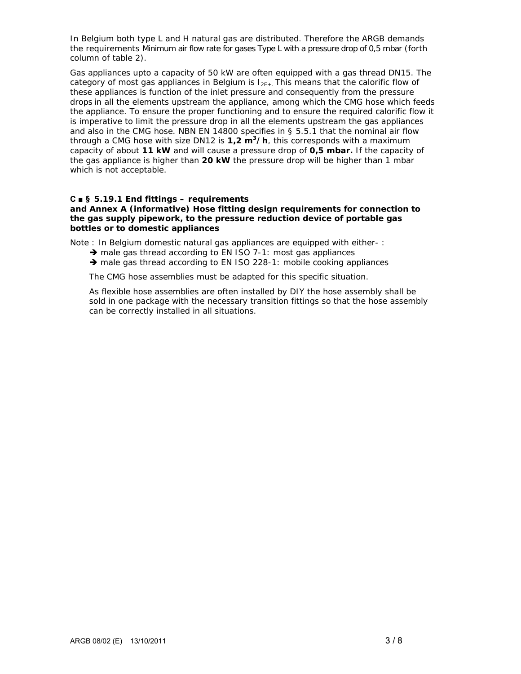In Belgium both type L and H natural gas are distributed. Therefore the ARGB demands the requirements *Minimum air flow rate for gases Type L with a pressure drop of 0,5 mbar* (forth column of table 2).

Gas appliances upto a capacity of 50 kW are often equipped with a gas thread DN15. The category of most gas appliances in Belgium is  $I_{2F+}$ . This means that the calorific flow of these appliances is function of the inlet pressure and consequently from the pressure drops in all the elements upstream the appliance, among which the CMG hose which feeds the appliance. To ensure the proper functioning and to ensure the required calorific flow it is imperative to limit the pressure drop in all the elements upstream the gas appliances and also in the CMG hose. NBN EN 14800 specifies in § 5.5.1 that the nominal air flow through a CMG hose with size DN12 is **1,2 m3/h**, this corresponds with a maximum capacity of about **11 kW** and will cause a pressure drop of **0,5 mbar.** If the capacity of the gas appliance is higher than **20 kW** the pressure drop will be higher than 1 mbar which is not acceptable.

## **C ■ § 5.19.1 End fittings – requirements**

#### **and Annex A (informative) Hose fitting design requirements for connection to the gas supply pipework, to the pressure reduction device of portable gas bottles or to domestic appliances**

Note : In Belgium domestic natural gas appliances are equipped with either- :

- $\rightarrow$  male gas thread according to EN ISO 7-1: most gas appliances
- $\rightarrow$  male gas thread according to EN ISO 228-1: mobile cooking appliances

The CMG hose assemblies must be adapted for this specific situation.

As flexible hose assemblies are often installed by DIY the hose assembly shall be sold in one package with the necessary transition fittings so that the hose assembly can be correctly installed in all situations.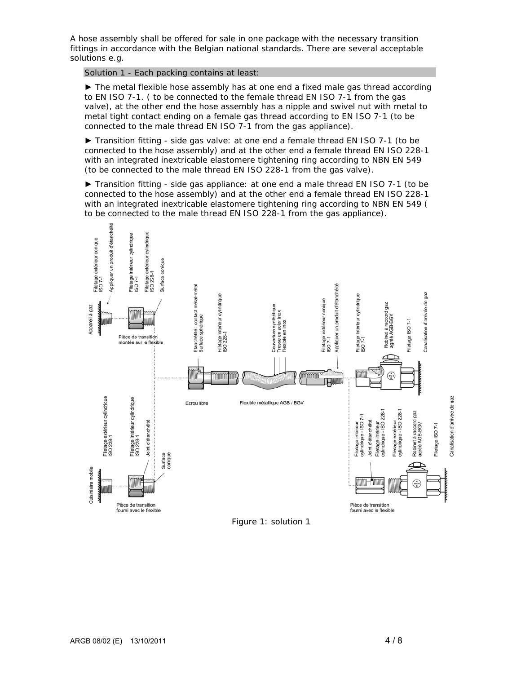A hose assembly shall be offered for sale in one package with the necessary transition fittings in accordance with the Belgian national standards. There are several acceptable solutions e.g.

Solution 1 - Each packing contains at least:

► The metal flexible hose assembly has at one end a fixed male gas thread according to EN ISO 7-1. ( to be connected to the female thread EN ISO 7-1 from the gas valve), at the other end the hose assembly has a nipple and swivel nut with metal to metal tight contact ending on a female gas thread according to EN ISO 7-1 (to be connected to the male thread EN ISO 7-1 from the gas appliance).

► Transition fitting - side gas valve: at one end a female thread EN ISO 7-1 (to be connected to the hose assembly) and at the other end a female thread EN ISO 228-1 with an integrated inextricable elastomere tightening ring according to NBN EN 549 (to be connected to the male thread EN ISO 228-1 from the gas valve).

► Transition fitting - side gas appliance: at one end a male thread EN ISO 7-1 (to be connected to the hose assembly) and at the other end a female thread EN ISO 228-1 with an integrated inextricable elastomere tightening ring according to NBN EN 549 ( to be connected to the male thread EN ISO 228-1 from the gas appliance).



Figure 1: solution 1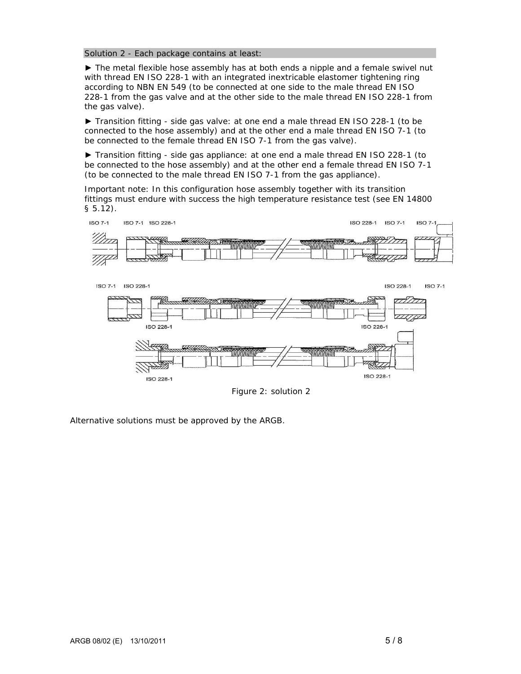#### Solution 2 - Each package contains at least:

► The metal flexible hose assembly has at both ends a nipple and a female swivel nut with thread EN ISO 228-1 with an integrated inextricable elastomer tightening ring according to NBN EN 549 (to be connected at one side to the male thread EN ISO 228-1 from the gas valve and at the other side to the male thread EN ISO 228-1 from the gas valve).

► Transition fitting - side gas valve: at one end a male thread EN ISO 228-1 (to be connected to the hose assembly) and at the other end a male thread EN ISO 7-1 (to be connected to the female thread EN ISO 7-1 from the gas valve).

► Transition fitting - side gas appliance: at one end a male thread EN ISO 228-1 (to be connected to the hose assembly) and at the other end a female thread EN ISO 7-1 (to be connected to the male thread EN ISO 7-1 from the gas appliance).

Important note: In this configuration hose assembly together with its transition fittings must endure with success the high temperature resistance test (see EN 14800 § 5.12).



Figure 2: solution 2

Alternative solutions must be approved by the ARGB.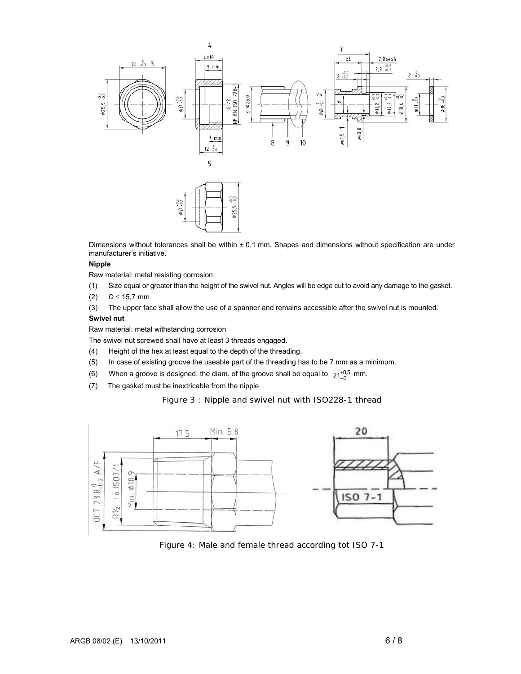

Dimensions without tolerances shall be within  $\pm$  0,1 mm. Shapes and dimensions without specification are under manufacturer's initiative.

#### **Nipple**

Raw material: metal resisting corrosion

- (1) Size equal or greater than the height of the swivel nut. Angles will be edge cut to avoid any damage to the gasket.
- (2) *D* ≤ 15,7 mm

(3) The upper face shall allow the use of a spanner and remains accessible after the swivel nut is mounted.

#### **Swivel nut**

Raw material: metal withstanding corrosion

The swivel nut screwed shall have at least 3 threads engaged.

- (4) Height of the hex at least equal to the depth of the threading.
- (5) In case of existing groove the useable part of the threading has to be 7 mm as a minimum.
- (6) When a groove is designed, the diam. of the groove shall be equal to  $21^{+0.5}_{-0}$  mm.
- (7) The gasket must be inextricable from the nipple

Figure 3 : Nipple and swivel nut with ISO228-1 thread



Figure 4: Male and female thread according tot ISO 7-1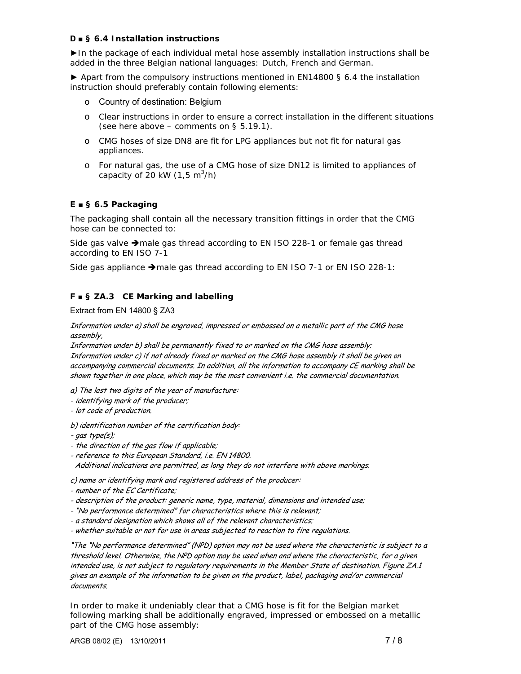# **D ■ § 6.4 Installation instructions**

►In the package of each individual metal hose assembly installation instructions shall be added in the three Belgian national languages: Dutch, French and German.

► Apart from the compulsory instructions mentioned in EN14800 § 6.4 the installation instruction should preferably contain following elements:

- o Country of destination: Belgium
- o Clear instructions in order to ensure a correct installation in the different situations (see here above – comments on  $\S$  5.19.1).
- o CMG hoses of size DN8 are fit for LPG appliances but not fit for natural gas appliances.
- o For natural gas, the use of a CMG hose of size DN12 is limited to appliances of capacity of 20 kW (1,5 m<sup>3</sup>/h)

# **E ■ § 6.5 Packaging**

The packaging shall contain all the necessary transition fittings in order that the CMG hose can be connected to:

Side gas valve  $\rightarrow$  male gas thread according to EN ISO 228-1 or female gas thread according to EN ISO 7-1

Side gas appliance  $\rightarrow$  male gas thread according to EN ISO 7-1 or EN ISO 228-1:

# **F ■ § ZA.3 CE Marking and labelling**

#### Extract from EN 14800 § ZA3

Information under a) shall be engraved, impressed or embossed on a metallic part of the CMG hose assembly,

Information under b) shall be permanently fixed to or marked on the CMG hose assembly; Information under c) if not already fixed or marked on the CMG hose assembly it shall be given on accompanying commercial documents. In addition, all the information to accompany CE marking shall be shown together in one place, which may be the most convenient i.e. the commercial documentation.

a) The last two digits of the year of manufacture:

- identifying mark of the producer;
- lot code of production.

b) identification number of the certification body:

- gas type(s);

- the direction of the gas flow if applicable;
- reference to this European Standard, i.e. EN 14800.

Additional indications are permitted, as long they do not interfere with above markings.

c) name or identifying mark and registered address of the producer:

- number of the EC Certificate;
- description of the product: generic name, type, material, dimensions and intended use;
- "No performance determined" for characteristics where this is relevant;
- a standard designation which shows all of the relevant characteristics;
- whether suitable or not for use in areas subjected to reaction to fire regulations.

"The "No performance determined" (NPD) option may not be used where the characteristic is subject to a threshold level. Otherwise, the NPD option may be used when and where the characteristic, for a given intended use, is not subject to regulatory requirements in the Member State of destination. Figure ZA.1 gives an example of the information to be given on the product, label, packaging and/or commercial documents.

In order to make it undeniably clear that a CMG hose is fit for the Belgian market following marking shall be additionally engraved, impressed or embossed on a metallic part of the CMG hose assembly: